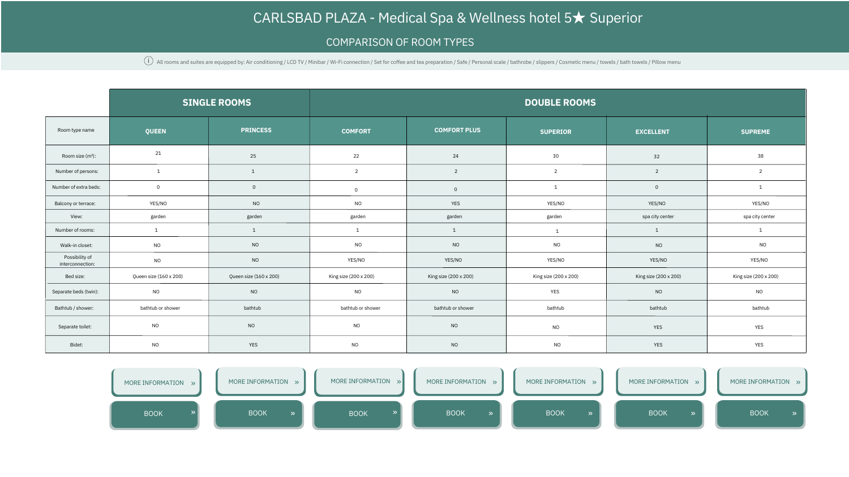## [CARLSBAD](https://www.carlsbad-plaza.com/cz/pokoje-&-apartmany/) [PLAZA](https://www.carlsbad-plaza.com/cz/pokoje-&-apartmany/) [-](https://www.carlsbad-plaza.com/cz/pokoje-&-apartmany/) [Medical](https://www.carlsbad-plaza.com/cz/pokoje-&-apartmany/) [Spa](https://www.carlsbad-plaza.com/cz/pokoje-&-apartmany/) [&](https://www.carlsbad-plaza.com/cz/pokoje-&-apartmany/) [Wellness](https://www.carlsbad-plaza.com/cz/pokoje-&-apartmany/) [hotel](https://www.carlsbad-plaza.com/cz/pokoje-&-apartmany/) 5[★](https://www.carlsbad-plaza.com/cz/pokoje-&-apartmany/) [Superior](https://www.carlsbad-plaza.com/cz/pokoje-&-apartmany/)

## COMPARISON OF ROOM TYPES

 $\hat{\mathbf{U}}$  All rooms and suites are equipped by: Air conditioning / LCD TV / Minibar / Wi-Fi connection / Set for coffee and tea preparation / Safe / Personal scale / bathrobe / slippers / Cosmetic menu / towels / bath to

|                                    |                        | <b>SINGLE ROOMS</b>    | <b>DOUBLE ROOMS</b>   |                       |                       |                       |                       |  |
|------------------------------------|------------------------|------------------------|-----------------------|-----------------------|-----------------------|-----------------------|-----------------------|--|
| Room type name                     | <b>QUEEN</b>           | <b>PRINCESS</b>        | <b>COMFORT</b>        | <b>COMFORT PLUS</b>   | <b>SUPERIOR</b>       | <b>EXCELLENT</b>      | <b>SUPREME</b>        |  |
| Room size (m <sup>2</sup> ):       | 21                     | 25                     | 22                    | 24                    | $30\,$                | 32                    | 38                    |  |
| Number of persons:                 |                        | $\mathbf{1}$           | $\overline{2}$        | $\overline{2}$        | $\overline{2}$        | $\overline{2}$        | $\overline{2}$        |  |
| Number of extra beds:              | $\overline{0}$         | $\mathsf{O}\xspace$    | $\overline{0}$        | $\overline{0}$        |                       | $\overline{0}$        |                       |  |
| Balcony or terrace:                | YES/NO                 | <b>NO</b>              | <b>NO</b>             | YES                   | YES/NO                | YES/NO                | YES/NO                |  |
| View:                              | garden                 | garden                 | garden                | garden                | garden                | spa city center       | spa city center       |  |
| Number of rooms:                   |                        | $\mathbf{1}$           |                       | $\mathbf{1}$          |                       |                       |                       |  |
| Walk-in closet:                    | <b>NO</b>              | <b>NO</b>              | <b>NO</b>             | <b>NO</b>             | NO                    | <b>NO</b>             | <b>NO</b>             |  |
| Possibility of<br>interconnection: | <b>NO</b>              | <b>NO</b>              | YES/NO                | YES/NO                | YES/NO                | YES/NO                | YES/NO                |  |
| Bed size:                          | Queen size (160 x 200) | Queen size (160 x 200) | King size (200 x 200) | King size (200 x 200) | King size (200 x 200) | King size (200 x 200) | King size (200 x 200) |  |
| Separate beds (twin):              | <b>NO</b>              | <b>NO</b>              | <b>NO</b>             | <b>NO</b>             | <b>YES</b>            | <b>NO</b>             | <b>NO</b>             |  |
| Bathtub / shower:                  | bathtub or shower      | bathtub                | bathtub or shower     | bathtub or shower     | bathtub               | bathtub               | bathtub               |  |
| Separate toilet:                   | <b>NO</b>              | $NO$                   | NO                    | NO                    | <b>NO</b>             | <b>YES</b>            | <b>YES</b>            |  |
| Bidet:                             | <b>NO</b>              | YES                    | <b>NO</b>             | NO                    | <b>NO</b>             | YES                   | YES                   |  |